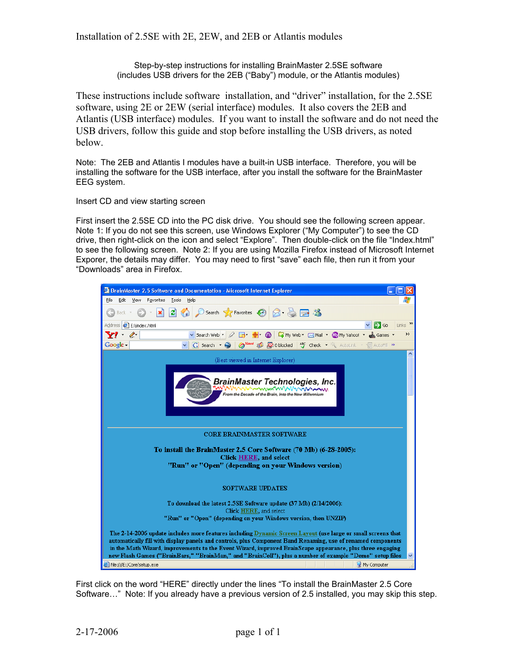Step-by-step instructions for installing BrainMaster 2.5SE software (includes USB drivers for the 2EB ("Baby") module, or the Atlantis modules)

These instructions include software installation, and "driver" installation, for the 2.5SE software, using 2E or 2EW (serial interface) modules. It also covers the 2EB and Atlantis (USB interface) modules. If you want to install the software and do not need the USB drivers, follow this guide and stop before installing the USB drivers, as noted below.

Note: The 2EB and Atlantis I modules have a built-in USB interface. Therefore, you will be installing the software for the USB interface, after you install the software for the BrainMaster EEG system.

Insert CD and view starting screen

First insert the 2.5SE CD into the PC disk drive. You should see the following screen appear. Note 1: If you do not see this screen, use Windows Explorer ("My Computer") to see the CD drive, then right-click on the icon and select "Explore". Then double-click on the file "Index.html" to see the following screen. Note 2: If you are using Mozilla Firefox instead of Microsoft Internet Exporer, the details may differ. You may need to first "save" each file, then run it from your "Downloads" area in Firefox.



First click on the word "HERE" directly under the lines "To install the BrainMaster 2.5 Core Software…" Note: If you already have a previous version of 2.5 installed, you may skip this step.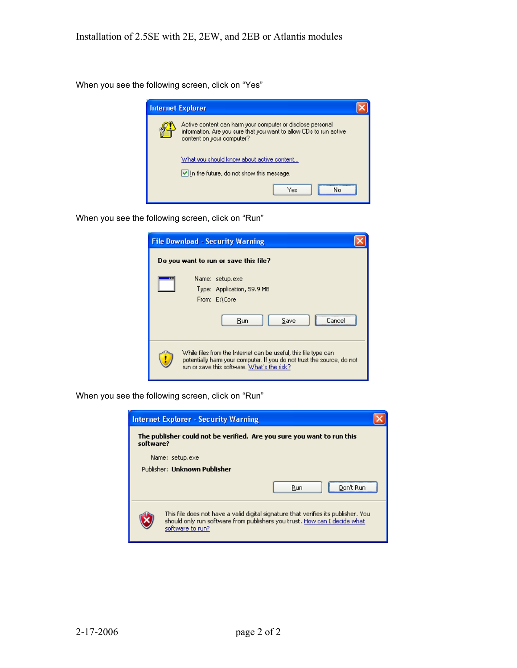When you see the following screen, click on "Yes"



When you see the following screen, click on "Run"

| <b>File Download - Security Warning</b>                                                                                                                                                  |
|------------------------------------------------------------------------------------------------------------------------------------------------------------------------------------------|
| Do you want to run or save this file?                                                                                                                                                    |
| Name: setup.exe<br><br>Type: Application, 59.9 MB<br>From: E:\Core<br>Run<br>Save<br>Dancel                                                                                              |
| While files from the Internet can be useful, this file type can<br>potentially harm your computer. If you do not trust the source, do not<br>run or save this software. What's the risk? |

When you see the following screen, click on "Run"

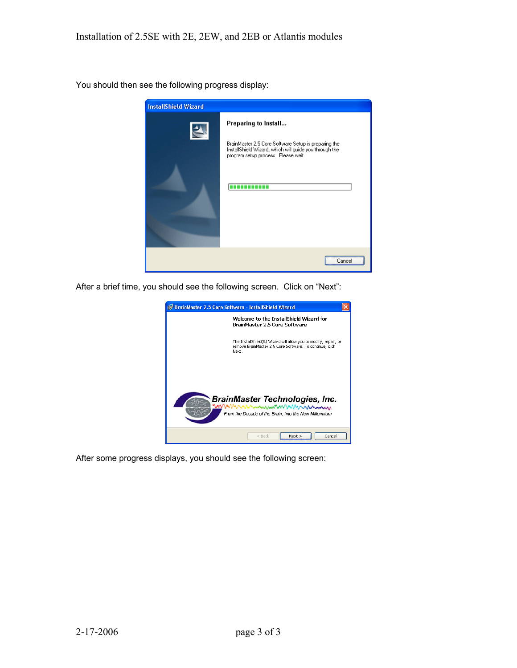You should then see the following progress display:



After a brief time, you should see the following screen. Click on "Next":



After some progress displays, you should see the following screen: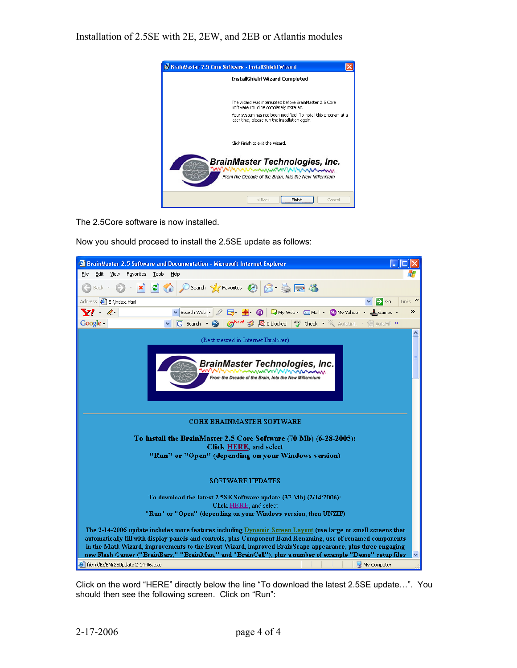

The 2.5Core software is now installed.

Now you should proceed to install the 2.5SE update as follows:



Click on the word "HERE" directly below the line "To download the latest 2.5SE update…". You should then see the following screen. Click on "Run":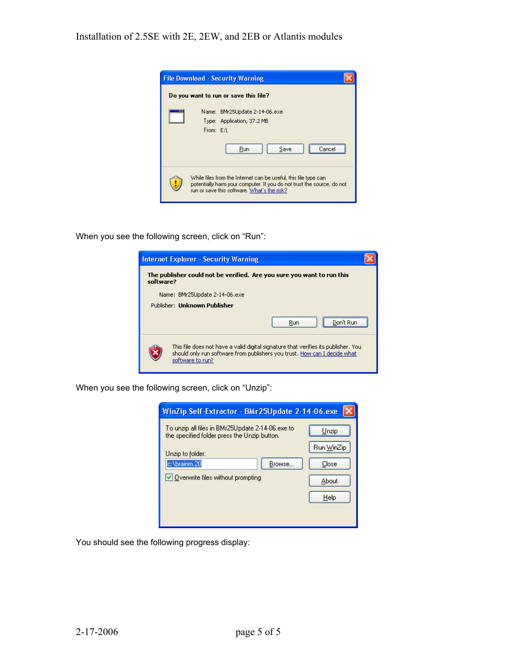

When you see the following screen, click on "Run":



When you see the following screen, click on "Unzip":

| WinZip Self-Extractor - BMr25Update 2-14-06.exe                                                                                                                                                      |                                               |
|------------------------------------------------------------------------------------------------------------------------------------------------------------------------------------------------------|-----------------------------------------------|
| To unzip all files in BMr25Update 2-14-06.exe to<br>the specified folder press the Unzip button.<br>Unzip to folder:<br>c:\brainm.20<br>Browse<br>$\triangleright$ Overwrite files without prompting | Unzip<br>Run WinZip<br>Close<br>About<br>Help |

You should see the following progress display: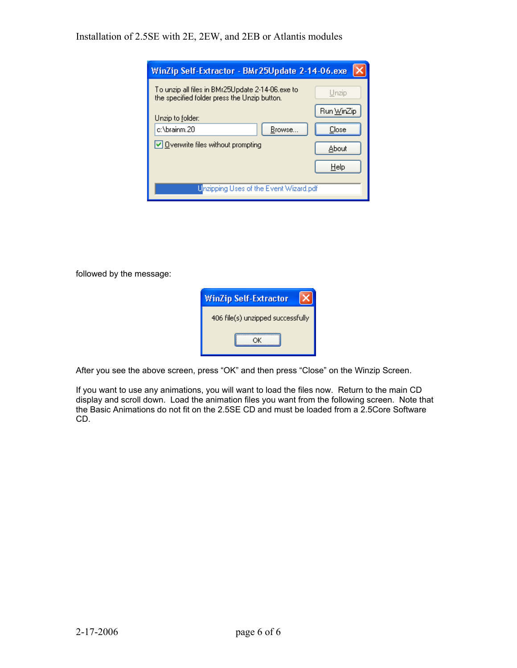| WinZip Self-Extractor - BMr25Update 2-14-06.exe                                                  |            |
|--------------------------------------------------------------------------------------------------|------------|
| To unzip all files in BMr25Update 2-14-06,exe to<br>the specified folder press the Unzip button. | Unzip      |
| Unzip to folder:                                                                                 | Run WinZip |
| c:\brainm.20<br>Browse                                                                           | Close      |
| $\vee$ Overwrite files without prompting                                                         | About      |
|                                                                                                  | Help       |
| Unzipping Uses of the Event Wizard.pdf                                                           |            |

followed by the message:



After you see the above screen, press "OK" and then press "Close" on the Winzip Screen.

If you want to use any animations, you will want to load the files now. Return to the main CD display and scroll down. Load the animation files you want from the following screen. Note that the Basic Animations do not fit on the 2.5SE CD and must be loaded from a 2.5Core Software CD.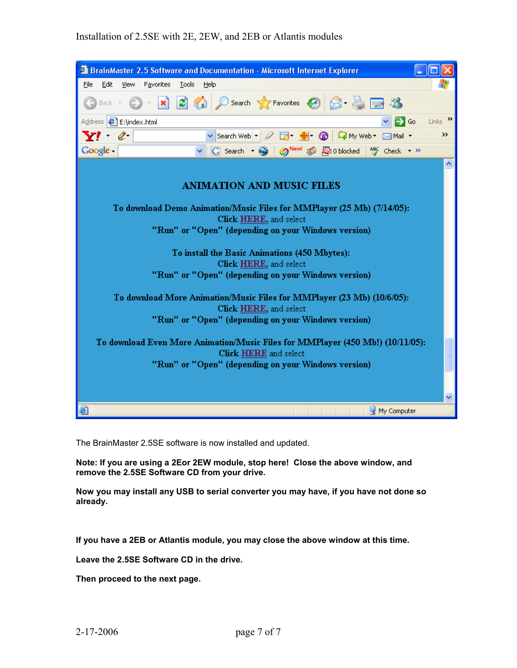

The BrainMaster 2.5SE software is now installed and updated.

**Note: If you are using a 2Eor 2EW module, stop here! Close the above window, and remove the 2.5SE Software CD from your drive.** 

**Now you may install any USB to serial converter you may have, if you have not done so already.**

**If you have a 2EB or Atlantis module, you may close the above window at this time.** 

**Leave the 2.5SE Software CD in the drive.** 

**Then proceed to the next page.**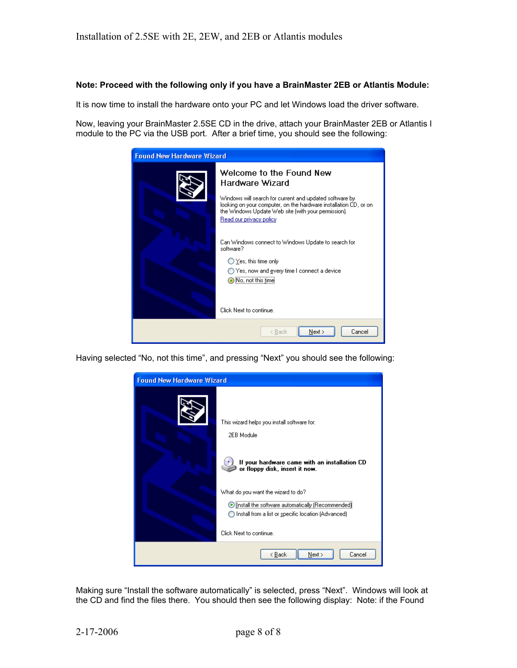## **Note: Proceed with the following only if you have a BrainMaster 2EB or Atlantis Module:**

It is now time to install the hardware onto your PC and let Windows load the driver software.

Now, leaving your BrainMaster 2.5SE CD in the drive, attach your BrainMaster 2EB or Atlantis I module to the PC via the USB port. After a brief time, you should see the following:

| <b>Found New Hardware Wizard</b> |                                                                                                                                                                                                                                                                                                                                                                                                                                                                                 |  |
|----------------------------------|---------------------------------------------------------------------------------------------------------------------------------------------------------------------------------------------------------------------------------------------------------------------------------------------------------------------------------------------------------------------------------------------------------------------------------------------------------------------------------|--|
|                                  | Welcome to the Found New<br>Hardware Wizard<br>Windows will search for current and updated software by:<br>looking on your computer, on the hardware installation CD, or on-<br>the Windows Update Web site (with your permission).<br>Read our privacy policy<br>Can Windows connect to Windows Update to search for<br>software?<br>$\bigcirc$ Yes, this time only<br>◯ Yes, now and every time I connect a device<br>$\bigcirc$ No, not this time<br>Click Next to continue. |  |
|                                  | Next ><br>Cancel<br>< Back                                                                                                                                                                                                                                                                                                                                                                                                                                                      |  |

Having selected "No, not this time", and pressing "Next" you should see the following:



Making sure "Install the software automatically" is selected, press "Next". Windows will look at the CD and find the files there. You should then see the following display: Note: if the Found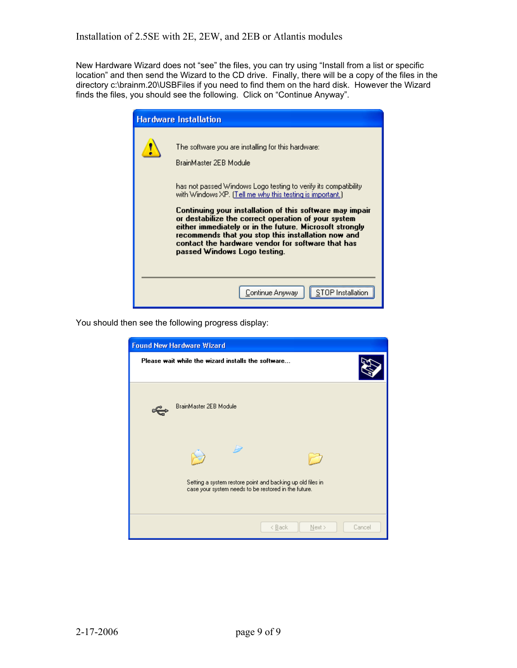New Hardware Wizard does not "see" the files, you can try using "Install from a list or specific location" and then send the Wizard to the CD drive. Finally, there will be a copy of the files in the directory c:\brainm.20\USBFiles if you need to find them on the hard disk. However the Wizard finds the files, you should see the following. Click on "Continue Anyway".

| <b>Hardware Installation</b>                                                                                                                                                                                                                                                                                                                                                                                                                                                                                                           |
|----------------------------------------------------------------------------------------------------------------------------------------------------------------------------------------------------------------------------------------------------------------------------------------------------------------------------------------------------------------------------------------------------------------------------------------------------------------------------------------------------------------------------------------|
| The software you are installing for this hardware:<br>BrainMaster 2EB Module<br>has not passed Windows Logo testing to verify its compatibility.<br>with Windows XP. (Tell me why this testing is important.)<br>Continuing your installation of this software may impair<br>or destabilize the correct operation of your system<br>either immediately or in the future. Microsoft strongly<br>recommends that you stop this installation now and<br>contact the hardware vendor for software that has<br>passed Windows Logo testing. |
| Continue Anyway                                                                                                                                                                                                                                                                                                                                                                                                                                                                                                                        |

You should then see the following progress display:

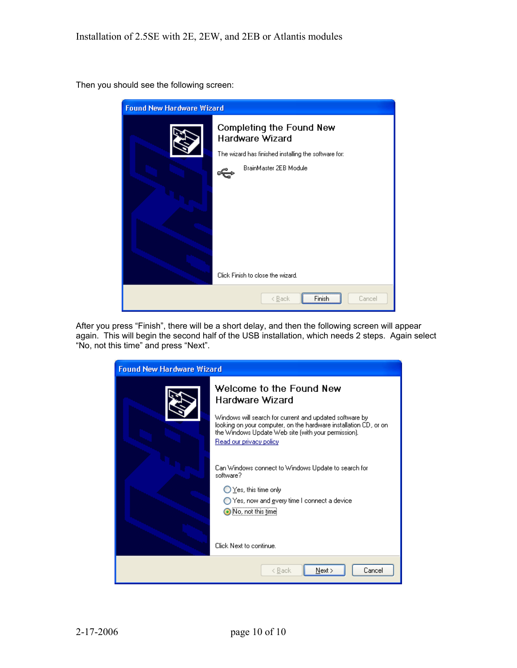Then you should see the following screen:



After you press "Finish", there will be a short delay, and then the following screen will appear again. This will begin the second half of the USB installation, which needs 2 steps. Again select "No, not this time" and press "Next".

| <b>Found New Hardware Wizard</b> |                                                                                                                                                                                                                                                                                                                                                                                                                                                                     |  |
|----------------------------------|---------------------------------------------------------------------------------------------------------------------------------------------------------------------------------------------------------------------------------------------------------------------------------------------------------------------------------------------------------------------------------------------------------------------------------------------------------------------|--|
|                                  | Welcome to the Found New<br>Hardware Wizard<br>Windows will search for current and updated software by<br>looking on your computer, on the hardware installation CD, or on-<br>the Windows Update Web site (with your permission).<br>Read our privacy policy<br>Can Windows connect to Windows Update to search for<br>software?<br>$\bigcirc$ Yes, this time only<br>◯ Yes, now and gvery time I connect a device<br>No, not this time<br>Click Next to continue. |  |
|                                  |                                                                                                                                                                                                                                                                                                                                                                                                                                                                     |  |
|                                  | Cancel<br>Next ><br>< Back                                                                                                                                                                                                                                                                                                                                                                                                                                          |  |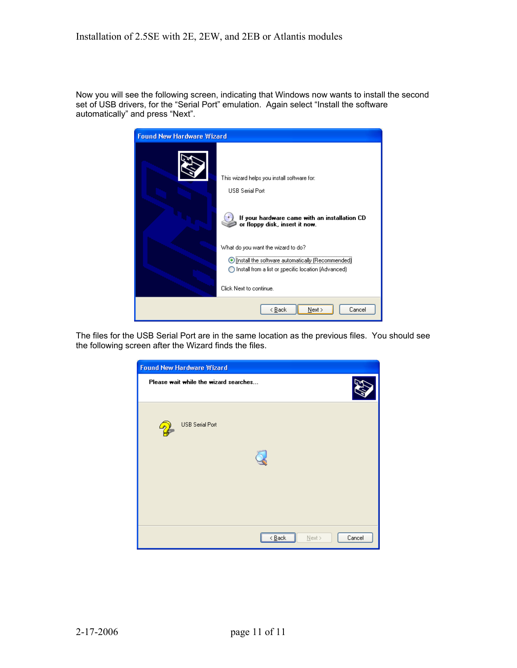Now you will see the following screen, indicating that Windows now wants to install the second set of USB drivers, for the "Serial Port" emulation. Again select "Install the software automatically" and press "Next".

| <b>Found New Hardware Wizard</b> |                                                                                                                                                                                                                                                                                                             |  |
|----------------------------------|-------------------------------------------------------------------------------------------------------------------------------------------------------------------------------------------------------------------------------------------------------------------------------------------------------------|--|
|                                  | This wizard helps you install software for:<br><b>USB Serial Port</b><br>If your hardware came with an installation CD<br>or floppy disk, insert it now.<br>What do you want the wizard to do?<br>Install the software automatically (Recommended)<br>◯ Install from a list or specific location (Advanced) |  |
|                                  | Click Next to continue.                                                                                                                                                                                                                                                                                     |  |
|                                  | Next ><br>Cancel<br>< <u>B</u> ack                                                                                                                                                                                                                                                                          |  |

The files for the USB Serial Port are in the same location as the previous files. You should see the following screen after the Wizard finds the files.

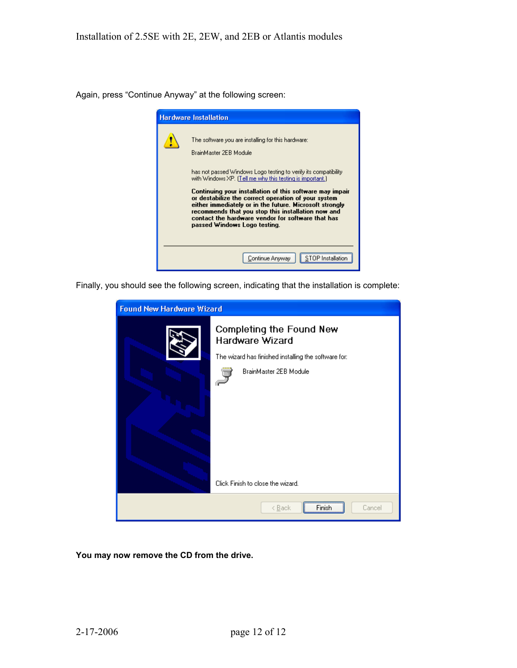Again, press "Continue Anyway" at the following screen:



Finally, you should see the following screen, indicating that the installation is complete:

| <b>Found New Hardware Wizard</b> |                                                                                                                               |  |
|----------------------------------|-------------------------------------------------------------------------------------------------------------------------------|--|
|                                  | Completing the Found New<br>Hardware Wizard<br>The wizard has finished installing the software for:<br>BrainMaster 2EB Module |  |
|                                  | Click Finish to close the wizard.                                                                                             |  |
|                                  | Cancel<br>< <u>B</u> ack<br>Finish                                                                                            |  |

**You may now remove the CD from the drive.**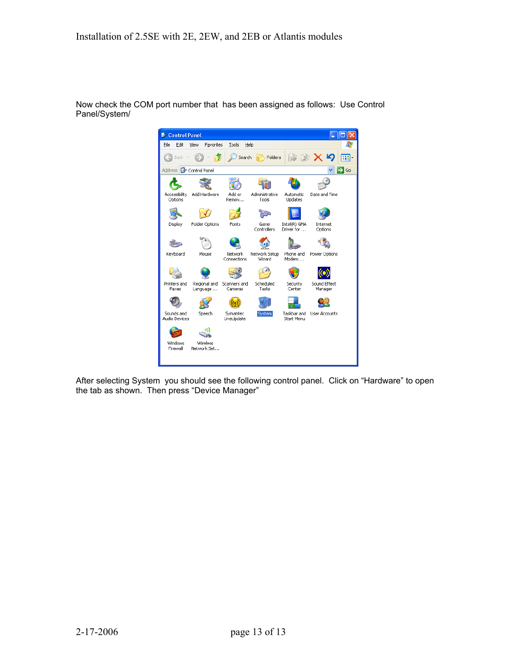

Now check the COM port number that has been assigned as follows: Use Control Panel/System/

After selecting System you should see the following control panel. Click on "Hardware" to open the tab as shown. Then press "Device Manager"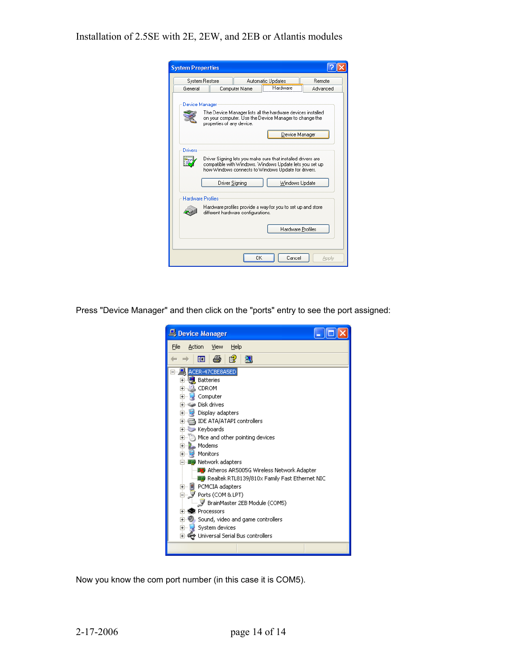| <b>System Properties</b> |                           |                                    |                                                                                                                                                                                                  |          |
|--------------------------|---------------------------|------------------------------------|--------------------------------------------------------------------------------------------------------------------------------------------------------------------------------------------------|----------|
| System Restore           |                           |                                    | Automatic Updates                                                                                                                                                                                | Remote   |
| General                  |                           | Computer Name                      | Hardware                                                                                                                                                                                         | Advanced |
| Device Manager           | properties of any device. |                                    | The Device Manager lists all the hardware devices installed<br>on your computer. Use the Device Manager to change the<br>Device Manager                                                          |          |
| Drivers                  | Driver Signing            |                                    | Driver Signing lets you make sure that installed drivers are<br>compatible with Windows. Windows Update lets you set up<br>how Windows connects to Windows Update for drivers.<br>Windows Update |          |
| <b>Hardware Profiles</b> |                           | different hardware configurations. | Hardware profiles provide a way for you to set up and store                                                                                                                                      |          |
|                          |                           |                                    | Hardware Profiles                                                                                                                                                                                |          |
|                          |                           | 0K                                 | Cancel                                                                                                                                                                                           | Apply    |

Press "Device Manager" and then click on the "ports" entry to see the port assigned:



Now you know the com port number (in this case it is COM5).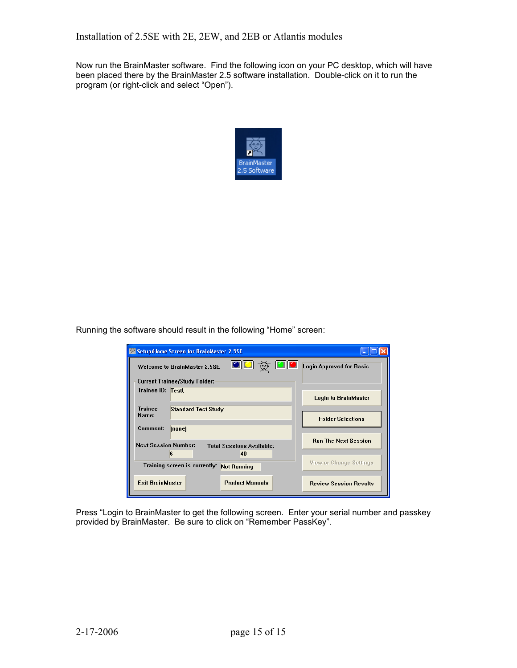Now run the BrainMaster software. Find the following icon on your PC desktop, which will have been placed there by the BrainMaster 2.5 software installation. Double-click on it to run the program (or right-click and select "Open").



Running the software should result in the following "Home" screen:

| Setup/Home Screen for BrainMaster 2.5SE                                           |                               |  |  |
|-----------------------------------------------------------------------------------|-------------------------------|--|--|
| oo & oc<br><b>Login Approved for Basic</b><br><b>Welcome to BrainMaster 2.5SE</b> |                               |  |  |
| <b>Current Trainee/Study Folder:</b>                                              |                               |  |  |
| Trainee ID: Test                                                                  | <b>Login to BrainMaster</b>   |  |  |
| <b>Trainee</b><br><b>Standard Test Study</b><br>Name:                             | <b>Folder Selections</b>      |  |  |
| Comment:<br>[none]                                                                |                               |  |  |
| <b>Next Session Number:</b><br><b>Total Sessions Available:</b>                   | <b>Run The Next Session</b>   |  |  |
| 6<br>40                                                                           |                               |  |  |
| Training screen is currently:<br><b>Not Running</b>                               | View or Change Settings       |  |  |
| <b>Exit BrainMaster</b><br><b>Product Manuals</b>                                 | <b>Review Session Results</b> |  |  |

Press "Login to BrainMaster to get the following screen. Enter your serial number and passkey provided by BrainMaster. Be sure to click on "Remember PassKey".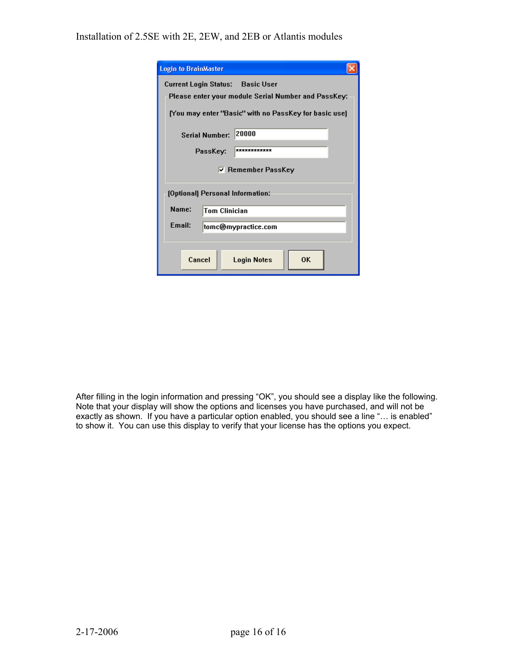| <b>Login to BrainMaster</b>                           |  |  |  |
|-------------------------------------------------------|--|--|--|
| Current Login Status: Basic User                      |  |  |  |
| Please enter your module Serial Number and PassKey:   |  |  |  |
| [You may enter "Basic" with no PassKey for basic use] |  |  |  |
| 20000<br><b>Serial Number:</b>                        |  |  |  |
| ************<br>PassKey:                              |  |  |  |
| $\nabla$ Remember PassKey                             |  |  |  |
| [Optional] Personal Information:                      |  |  |  |
| Name:<br><b>Tom Clinician</b>                         |  |  |  |
| <b>Fmail:</b><br>tomc@mypractice.com                  |  |  |  |
|                                                       |  |  |  |
| 0K<br>Cancel<br><b>Login Notes</b>                    |  |  |  |

After filling in the login information and pressing "OK", you should see a display like the following. Note that your display will show the options and licenses you have purchased, and will not be exactly as shown. If you have a particular option enabled, you should see a line "… is enabled" to show it. You can use this display to verify that your license has the options you expect.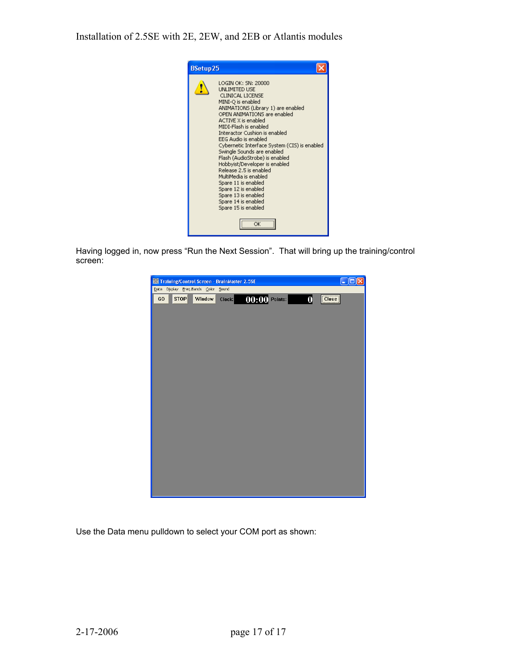

Having logged in, now press "Run the Next Session". That will bring up the training/control screen:



Use the Data menu pulldown to select your COM port as shown: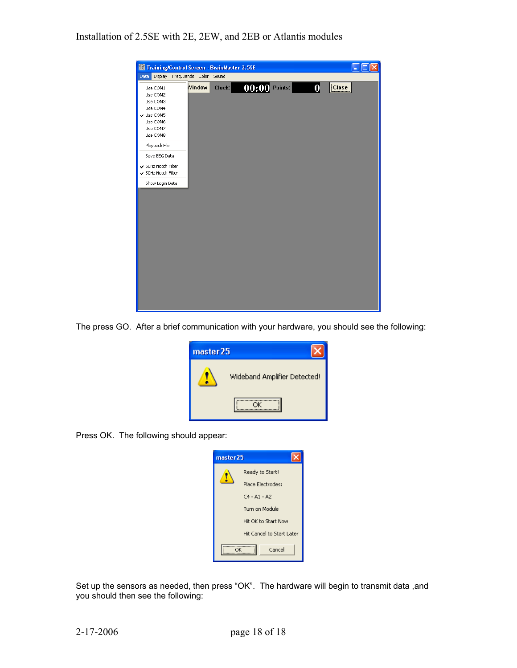

The press GO. After a brief communication with your hardware, you should see the following:

| master25 |                              |
|----------|------------------------------|
|          | Wideband Amplifier Detected! |
|          |                              |

Press OK. The following should appear:



Set up the sensors as needed, then press "OK". The hardware will begin to transmit data ,and you should then see the following: